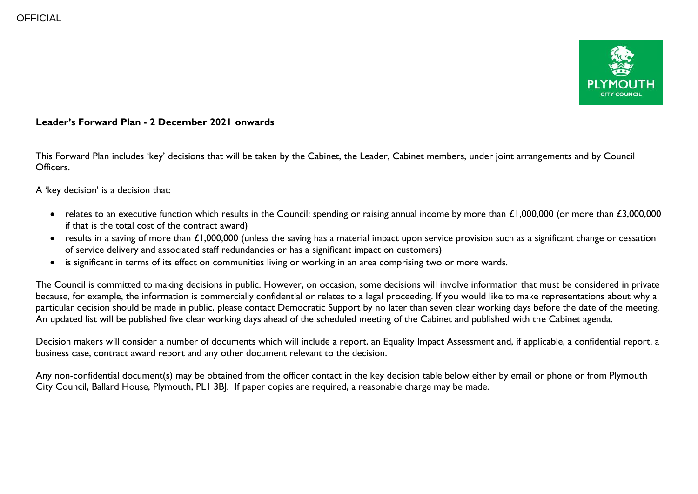

## **Leader's Forward Plan - 2 December 2021 onwards**

This Forward Plan includes 'key' decisions that will be taken by the Cabinet, the Leader, Cabinet members, under joint arrangements and by Council Officers.

A 'key decision' is a decision that:

- relates to an executive function which results in the Council: spending or raising annual income by more than  $\pounds1,000,000$  (or more than  $\pounds3,000,000$ if that is the total cost of the contract award)
- results in a saving of more than £1,000,000 (unless the saving has a material impact upon service provision such as a significant change or cessation of service delivery and associated staff redundancies or has a significant impact on customers)
- is significant in terms of its effect on communities living or working in an area comprising two or more wards.

The Council is committed to making decisions in public. However, on occasion, some decisions will involve information that must be considered in private because, for example, the information is commercially confidential or relates to a legal proceeding. If you would like to make representations about why a particular decision should be made in public, please contact Democratic Support by no later than seven clear working days before the date of the meeting. An updated list will be published five clear working days ahead of the scheduled meeting of the Cabinet and published with the Cabinet agenda.

Decision makers will consider a number of documents which will include a report, an Equality Impact Assessment and, if applicable, a confidential report, a business case, contract award report and any other document relevant to the decision.

Any non-confidential document(s) may be obtained from the officer contact in the key decision table below either by email or phone or from Plymouth City Council, Ballard House, Plymouth, PL1 3BJ. If paper copies are required, a reasonable charge may be made.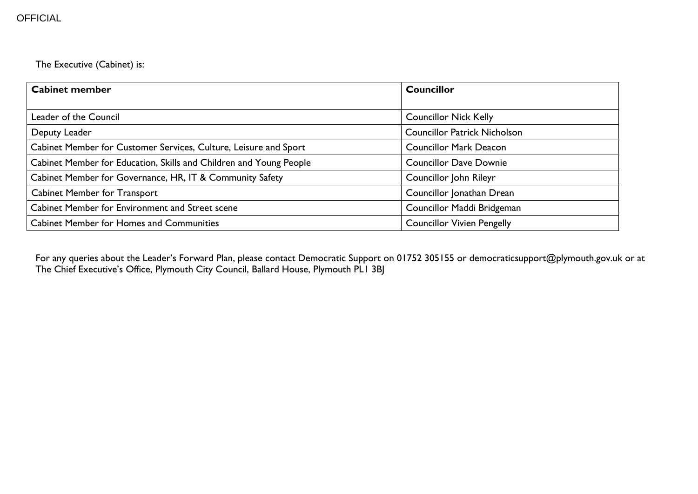The Executive (Cabinet) is:

| <b>Cabinet member</b>                                              | <b>Councillor</b>                   |  |  |
|--------------------------------------------------------------------|-------------------------------------|--|--|
|                                                                    |                                     |  |  |
| Leader of the Council                                              | <b>Councillor Nick Kelly</b>        |  |  |
| Deputy Leader                                                      | <b>Councillor Patrick Nicholson</b> |  |  |
| Cabinet Member for Customer Services, Culture, Leisure and Sport   | <b>Councillor Mark Deacon</b>       |  |  |
| Cabinet Member for Education, Skills and Children and Young People | <b>Councillor Dave Downie</b>       |  |  |
| Cabinet Member for Governance, HR, IT & Community Safety           | Councillor John Rileyr              |  |  |
| <b>Cabinet Member for Transport</b>                                | Councillor Jonathan Drean           |  |  |
| Cabinet Member for Environment and Street scene                    | Councillor Maddi Bridgeman          |  |  |
| <b>Cabinet Member for Homes and Communities</b>                    | <b>Councillor Vivien Pengelly</b>   |  |  |

For any queries about the Leader's Forward Plan, please contact Democratic Support on 01752 305155 or democraticsupport@plymouth.gov.uk or at The Chief Executive's Office, Plymouth City Council, Ballard House, Plymouth PL1 3BJ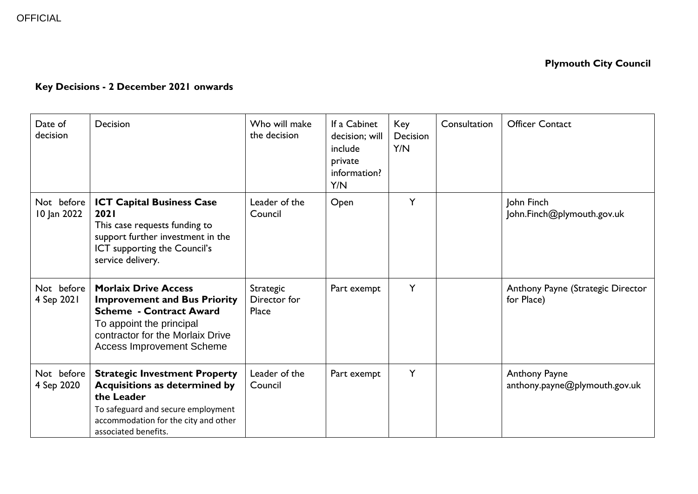## **Key Decisions - 2 December 2021 onwards**

| Date of<br>decision       | Decision                                                                                                                                                                                                 | Who will make<br>the decision      | If a Cabinet<br>decision; will<br>include<br>private<br>information?<br>Y/N | Key<br>Decision<br>Y/N | Consultation | <b>Officer Contact</b>                          |
|---------------------------|----------------------------------------------------------------------------------------------------------------------------------------------------------------------------------------------------------|------------------------------------|-----------------------------------------------------------------------------|------------------------|--------------|-------------------------------------------------|
| Not before<br>10 Jan 2022 | <b>ICT Capital Business Case</b><br>2021<br>This case requests funding to<br>support further investment in the<br>ICT supporting the Council's<br>service delivery.                                      | Leader of the<br>Council           | Open                                                                        | Y                      |              | John Finch<br>John.Finch@plymouth.gov.uk        |
| Not before<br>4 Sep 2021  | <b>Morlaix Drive Access</b><br><b>Improvement and Bus Priority</b><br><b>Scheme - Contract Award</b><br>To appoint the principal<br>contractor for the Morlaix Drive<br><b>Access Improvement Scheme</b> | Strategic<br>Director for<br>Place | Part exempt                                                                 | Y                      |              | Anthony Payne (Strategic Director<br>for Place) |
| Not before<br>4 Sep 2020  | <b>Strategic Investment Property</b><br><b>Acquisitions as determined by</b><br>the Leader<br>To safeguard and secure employment<br>accommodation for the city and other<br>associated benefits.         | Leader of the<br>Council           | Part exempt                                                                 | Y                      |              | Anthony Payne<br>anthony.payne@plymouth.gov.uk  |